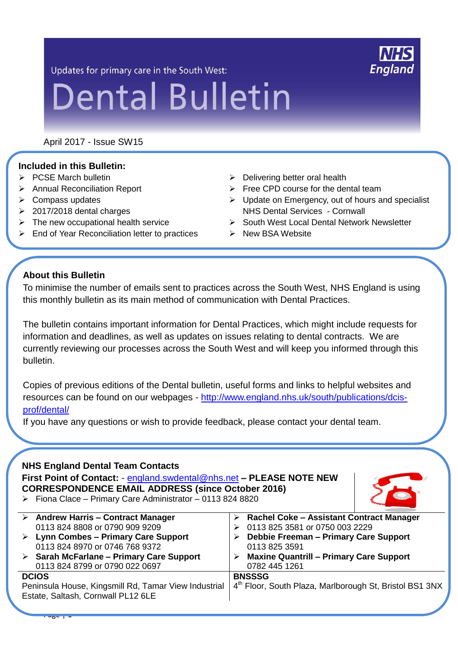Updates for primary care in the South West:

# **Dental Bulletin**

April 2017 - Issue SW15

## **Included in this Bulletin:**

- $\triangleright$  PCSE March bulletin
- Annual Reconciliation Report
- $\triangleright$  Compass updates
- $\geq 2017/2018$  dental charges
- $\triangleright$  The new occupational health service
- $\triangleright$  End of Year Reconciliation letter to practices
- $\triangleright$  Delivering better oral health
- $\triangleright$  Free CPD course for the dental team
- $\triangleright$  Update on Emergency, out of hours and specialist NHS Dental Services - Cornwall
- ▶ South West Local Dental Network Newsletter
- $\triangleright$  New BSA Website

## **About this Bulletin**

To minimise the number of emails sent to practices across the South West, NHS England is using this monthly bulletin as its main method of communication with Dental Practices.

The bulletin contains important information for Dental Practices, which might include requests for information and deadlines, as well as updates on issues relating to dental contracts. We are currently reviewing our processes across the South West and will keep you informed through this bulletin.

Copies of previous editions of the Dental bulletin, useful forms and links to helpful websites and resources can be found on our webpages - [http://www.england.nhs.uk/south/publications/dcis](http://www.england.nhs.uk/south/publications/dcis-prof/dental/)[prof/dental/](http://www.england.nhs.uk/south/publications/dcis-prof/dental/)

If you have any questions or wish to provide feedback, please contact your dental team.

#### **NHS England Dental Team Contacts**

**First Point of Contact:** - [england.swdental@nhs.net](mailto:england.swdental@nhs.net) **– PLEASE NOTE NEW CORRESPONDENCE EMAIL ADDRESS (since October 2016)**  $\triangleright$  Fiona Clace – Primary Care Administrator – 0113 824 8820



**NHS England** 

|                                                      | $\triangleright$ Andrew Harris - Contract Manager       |               | $\triangleright$ Rachel Coke – Assistant Contract Manager           |
|------------------------------------------------------|---------------------------------------------------------|---------------|---------------------------------------------------------------------|
|                                                      | 0113 824 8808 or 0790 909 9209                          |               | 0113 825 3581 or 0750 003 2229                                      |
|                                                      | $\triangleright$ Lynn Combes – Primary Care Support     |               | Debbie Freeman - Primary Care Support                               |
|                                                      | 0113 824 8970 or 0746 768 9372                          |               | 0113 825 3591                                                       |
|                                                      | $\triangleright$ Sarah McFarlane – Primary Care Support |               | $\triangleright$ Maxine Quantrill – Primary Care Support            |
|                                                      | 0113 824 8799 or 0790 022 0697                          |               | 0782 445 1261                                                       |
| <b>DCIOS</b>                                         |                                                         | <b>BNSSSG</b> |                                                                     |
| Peninsula House, Kingsmill Rd, Tamar View Industrial |                                                         |               | 4 <sup>th</sup> Floor, South Plaza, Marlborough St, Bristol BS1 3NX |
| Estate, Saltash, Cornwall PL12 6LE                   |                                                         |               |                                                                     |
|                                                      |                                                         |               |                                                                     |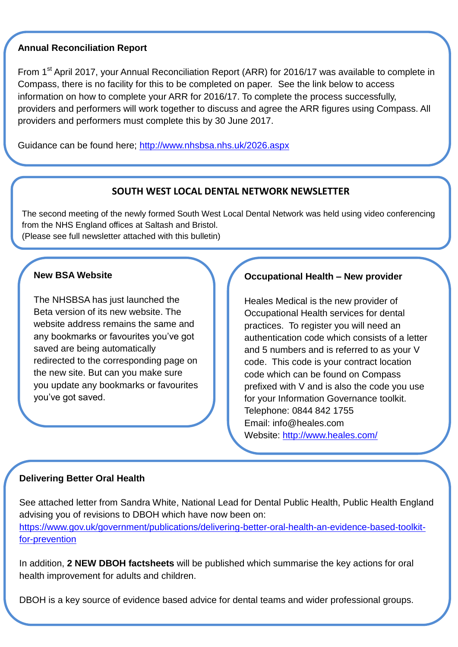#### **Annual Reconciliation Report**

From 1<sup>st</sup> April 2017, your Annual Reconciliation Report (ARR) for 2016/17 was available to complete in Compass, there is no facility for this to be completed on paper. See the link below to access information on how to complete your ARR for 2016/17. To complete the process successfully, providers and performers will work together to discuss and agree the ARR figures using Compass. All providers and performers must complete this by 30 June 2017.

Guidance can be found here;<http://www.nhsbsa.nhs.uk/2026.aspx>

#### **SOUTH WEST LOCAL DENTAL NETWORK NEWSLETTER**

The second meeting of the newly formed South West Local Dental Network was held using video conferencing from the NHS England offices at Saltash and Bristol. (Please see full newsletter attached with this bulletin)

## **New BSA Website**

The NHSBSA has just launched the Beta version of its new website. The website address remains the same and any bookmarks or favourites you've got saved are being automatically redirected to the corresponding page on the new site. But can you make sure you update any bookmarks or favourites you've got saved.

## **Occupational Health – New provider**

Heales Medical is the new provider of Occupational Health services for dental practices. To register you will need an authentication code which consists of a letter and 5 numbers and is referred to as your V code. This code is your contract location code which can be found on Compass prefixed with V and is also the code you use for your Information Governance toolkit. Telephone: 0844 842 1755 Email: info@heales.com Website:<http://www.heales.com/>

#### **Delivering Better Oral Health**

See attached letter from Sandra White, National Lead for Dental Public Health, Public Health England advising you of revisions to DBOH which have now been on: [https://www.gov.uk/government/publications/delivering-better-oral-health-an-evidence-based-toolkit](https://www.gov.uk/government/publications/delivering-better-oral-health-an-evidence-based-toolkit-for-prevention)[for-prevention](https://www.gov.uk/government/publications/delivering-better-oral-health-an-evidence-based-toolkit-for-prevention)

In addition, **2 NEW DBOH factsheets** will be published which summarise the key actions for oral health improvement for adults and children.

DBOH is a key source of evidence based advice for dental teams and wider professional groups.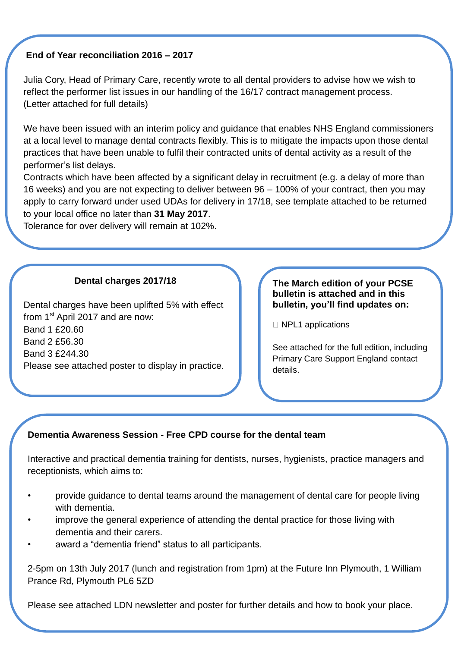## **End of Year reconciliation 2016 – 2017**

Julia Cory, Head of Primary Care, recently wrote to all dental providers to advise how we wish to reflect the performer list issues in our handling of the 16/17 contract management process. (Letter attached for full details)

We have been issued with an interim policy and quidance that enables NHS England commissioners at a local level to manage dental contracts flexibly. This is to mitigate the impacts upon those dental practices that have been unable to fulfil their contracted units of dental activity as a result of the performer's list delays.

Contracts which have been affected by a significant delay in recruitment (e.g. a delay of more than 16 weeks) and you are not expecting to deliver between 96 – 100% of your contract, then you may apply to carry forward under used UDAs for delivery in 17/18, see template attached to be returned to your local office no later than **31 May 2017**.

Tolerance for over delivery will remain at 102%.

## **Dental charges 2017/18**

Dental charges have been uplifted 5% with effect from 1<sup>st</sup> April 2017 and are now: Band 1 £20.60 Band 2 £56.30 Band 3 £244.30 Please see attached poster to display in practice.

#### **The March edition of your PCSE bulletin is attached and in this bulletin, you'll find updates on:**

 $\Box$  NPL1 applications

See attached for the full edition, including Primary Care Support England contact details.

# **Dementia Awareness Session - Free CPD course for the dental team**

Interactive and practical dementia training for dentists, nurses, hygienists, practice managers and receptionists, which aims to:

- provide guidance to dental teams around the management of dental care for people living with dementia.
- improve the general experience of attending the dental practice for those living with dementia and their carers.
- award a "dementia friend" status to all participants.

2-5pm on 13th July 2017 (lunch and registration from 1pm) at the Future Inn Plymouth, 1 William Prance Rd, Plymouth PL6 5ZD

Please see attached LDN newsletter and poster for further details and how to book your place.